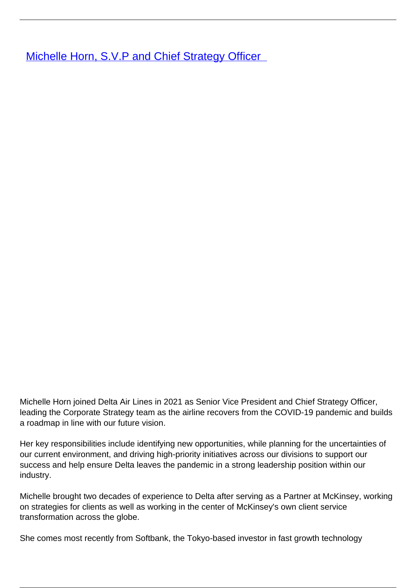**Michelle Horn, S.V.P and Chief Strategy Officer** 

Michelle Horn joined Delta Air Lines in 2021 as Senior Vice President and Chief Strategy Officer, leading the Corporate Strategy team as the airline recovers from the COVID-19 pandemic and builds a roadmap in line with our future vision.

Her key responsibilities include identifying new opportunities, while planning for the uncertainties of our current environment, and driving high-priority initiatives across our divisions to support our success and help ensure Delta leaves the pandemic in a strong leadership position within our industry.

Michelle brought two decades of experience to Delta after serving as a Partner at McKinsey, working on strategies for clients as well as working in the center of McKinsey's own client service transformation across the globe.

She comes most recently from Softbank, the Tokyo-based investor in fast growth technology